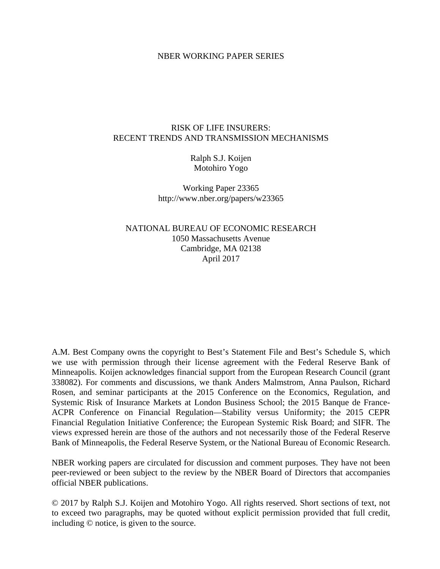#### NBER WORKING PAPER SERIES

## RISK OF LIFE INSURERS: RECENT TRENDS AND TRANSMISSION MECHANISMS

Ralph S.J. Koijen Motohiro Yogo

Working Paper 23365 http://www.nber.org/papers/w23365

NATIONAL BUREAU OF ECONOMIC RESEARCH 1050 Massachusetts Avenue Cambridge, MA 02138 April 2017

A.M. Best Company owns the copyright to Best's Statement File and Best's Schedule S, which we use with permission through their license agreement with the Federal Reserve Bank of Minneapolis. Koijen acknowledges financial support from the European Research Council (grant 338082). For comments and discussions, we thank Anders Malmstrom, Anna Paulson, Richard Rosen, and seminar participants at the 2015 Conference on the Economics, Regulation, and Systemic Risk of Insurance Markets at London Business School; the 2015 Banque de France-ACPR Conference on Financial Regulation—Stability versus Uniformity; the 2015 CEPR Financial Regulation Initiative Conference; the European Systemic Risk Board; and SIFR. The views expressed herein are those of the authors and not necessarily those of the Federal Reserve Bank of Minneapolis, the Federal Reserve System, or the National Bureau of Economic Research.

NBER working papers are circulated for discussion and comment purposes. They have not been peer-reviewed or been subject to the review by the NBER Board of Directors that accompanies official NBER publications.

© 2017 by Ralph S.J. Koijen and Motohiro Yogo. All rights reserved. Short sections of text, not to exceed two paragraphs, may be quoted without explicit permission provided that full credit, including © notice, is given to the source.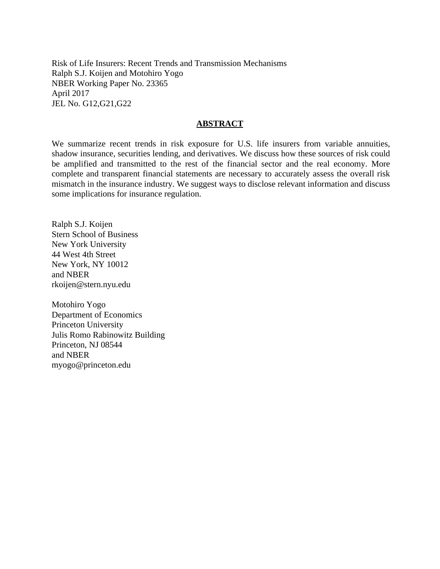Risk of Life Insurers: Recent Trends and Transmission Mechanisms Ralph S.J. Koijen and Motohiro Yogo NBER Working Paper No. 23365 April 2017 JEL No. G12,G21,G22

### **ABSTRACT**

We summarize recent trends in risk exposure for U.S. life insurers from variable annuities, shadow insurance, securities lending, and derivatives. We discuss how these sources of risk could be amplified and transmitted to the rest of the financial sector and the real economy. More complete and transparent financial statements are necessary to accurately assess the overall risk mismatch in the insurance industry. We suggest ways to disclose relevant information and discuss some implications for insurance regulation.

Ralph S.J. Koijen Stern School of Business New York University 44 West 4th Street New York, NY 10012 and NBER rkoijen@stern.nyu.edu

Motohiro Yogo Department of Economics Princeton University Julis Romo Rabinowitz Building Princeton, NJ 08544 and NBER myogo@princeton.edu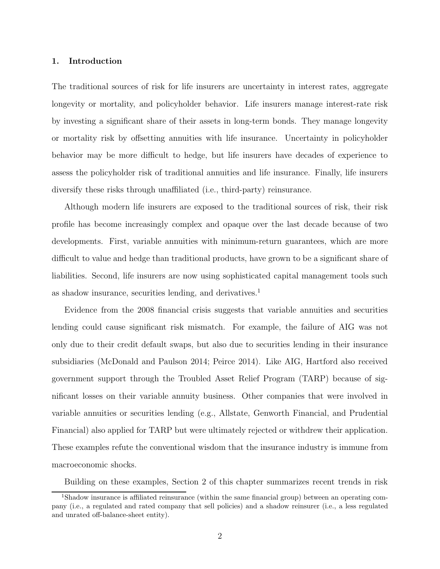#### **1. Introduction**

The traditional sources of risk for life insurers are uncertainty in interest rates, aggregate longevity or mortality, and policyholder behavior. Life insurers manage interest-rate risk by investing a significant share of their assets in long-term bonds. They manage longevity or mortality risk by offsetting annuities with life insurance. Uncertainty in policyholder behavior may be more difficult to hedge, but life insurers have decades of experience to assess the policyholder risk of traditional annuities and life insurance. Finally, life insurers diversify these risks through unaffiliated (i.e., third-party) reinsurance.

Although modern life insurers are exposed to the traditional sources of risk, their risk profile has become increasingly complex and opaque over the last decade because of two developments. First, variable annuities with minimum-return guarantees, which are more difficult to value and hedge than traditional products, have grown to be a significant share of liabilities. Second, life insurers are now using sophisticated capital management tools such as shadow insurance, securities lending, and derivatives.<sup>1</sup>

Evidence from the 2008 financial crisis suggests that variable annuities and securities lending could cause significant risk mismatch. For example, the failure of AIG was not only due to their credit default swaps, but also due to securities lending in their insurance subsidiaries (McDonald and Paulson 2014; Peirce 2014). Like AIG, Hartford also received government support through the Troubled Asset Relief Program (TARP) because of significant losses on their variable annuity business. Other companies that were involved in variable annuities or securities lending (e.g., Allstate, Genworth Financial, and Prudential Financial) also applied for TARP but were ultimately rejected or withdrew their application. These examples refute the conventional wisdom that the insurance industry is immune from macroeconomic shocks.

Building on these examples, Section 2 of this chapter summarizes recent trends in risk

<sup>1</sup>Shadow insurance is affiliated reinsurance (within the same financial group) between an operating company (i.e., a regulated and rated company that sell policies) and a shadow reinsurer (i.e., a less regulated and unrated off-balance-sheet entity).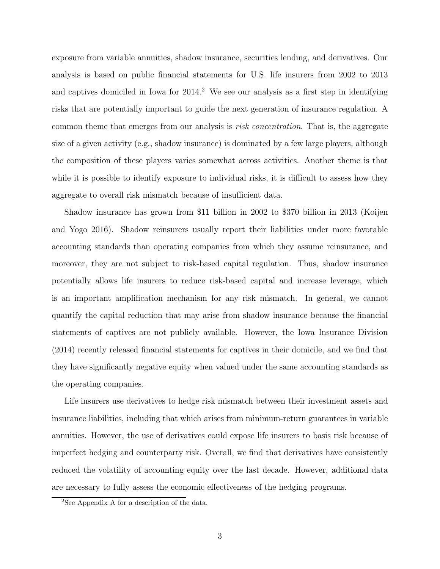exposure from variable annuities, shadow insurance, securities lending, and derivatives. Our analysis is based on public financial statements for U.S. life insurers from 2002 to 2013 and captives domiciled in Iowa for  $2014<sup>2</sup>$  We see our analysis as a first step in identifying risks that are potentially important to guide the next generation of insurance regulation. A common theme that emerges from our analysis is *risk concentration*. That is, the aggregate size of a given activity (e.g., shadow insurance) is dominated by a few large players, although the composition of these players varies somewhat across activities. Another theme is that while it is possible to identify exposure to individual risks, it is difficult to assess how they aggregate to overall risk mismatch because of insufficient data.

Shadow insurance has grown from \$11 billion in 2002 to \$370 billion in 2013 (Koijen and Yogo 2016). Shadow reinsurers usually report their liabilities under more favorable accounting standards than operating companies from which they assume reinsurance, and moreover, they are not subject to risk-based capital regulation. Thus, shadow insurance potentially allows life insurers to reduce risk-based capital and increase leverage, which is an important amplification mechanism for any risk mismatch. In general, we cannot quantify the capital reduction that may arise from shadow insurance because the financial statements of captives are not publicly available. However, the Iowa Insurance Division (2014) recently released financial statements for captives in their domicile, and we find that they have significantly negative equity when valued under the same accounting standards as the operating companies.

Life insurers use derivatives to hedge risk mismatch between their investment assets and insurance liabilities, including that which arises from minimum-return guarantees in variable annuities. However, the use of derivatives could expose life insurers to basis risk because of imperfect hedging and counterparty risk. Overall, we find that derivatives have consistently reduced the volatility of accounting equity over the last decade. However, additional data are necessary to fully assess the economic effectiveness of the hedging programs.

<sup>2</sup>See Appendix A for a description of the data.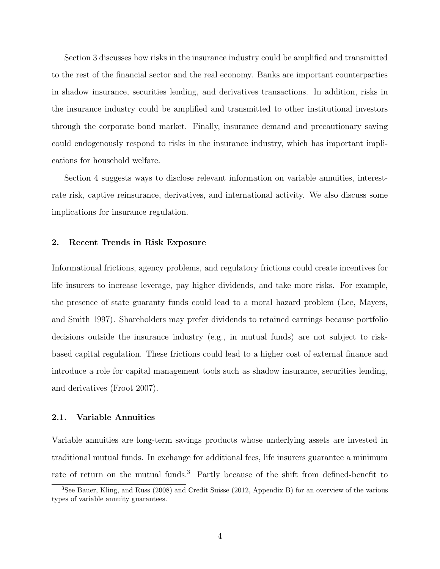Section 3 discusses how risks in the insurance industry could be amplified and transmitted to the rest of the financial sector and the real economy. Banks are important counterparties in shadow insurance, securities lending, and derivatives transactions. In addition, risks in the insurance industry could be amplified and transmitted to other institutional investors through the corporate bond market. Finally, insurance demand and precautionary saving could endogenously respond to risks in the insurance industry, which has important implications for household welfare.

Section 4 suggests ways to disclose relevant information on variable annuities, interestrate risk, captive reinsurance, derivatives, and international activity. We also discuss some implications for insurance regulation.

#### **2. Recent Trends in Risk Exposure**

Informational frictions, agency problems, and regulatory frictions could create incentives for life insurers to increase leverage, pay higher dividends, and take more risks. For example, the presence of state guaranty funds could lead to a moral hazard problem (Lee, Mayers, and Smith 1997). Shareholders may prefer dividends to retained earnings because portfolio decisions outside the insurance industry (e.g., in mutual funds) are not subject to riskbased capital regulation. These frictions could lead to a higher cost of external finance and introduce a role for capital management tools such as shadow insurance, securities lending, and derivatives (Froot 2007).

#### **2.1. Variable Annuities**

Variable annuities are long-term savings products whose underlying assets are invested in traditional mutual funds. In exchange for additional fees, life insurers guarantee a minimum rate of return on the mutual funds.<sup>3</sup> Partly because of the shift from defined-benefit to

<sup>3</sup>See Bauer, Kling, and Russ (2008) and Credit Suisse (2012, Appendix B) for an overview of the various types of variable annuity guarantees.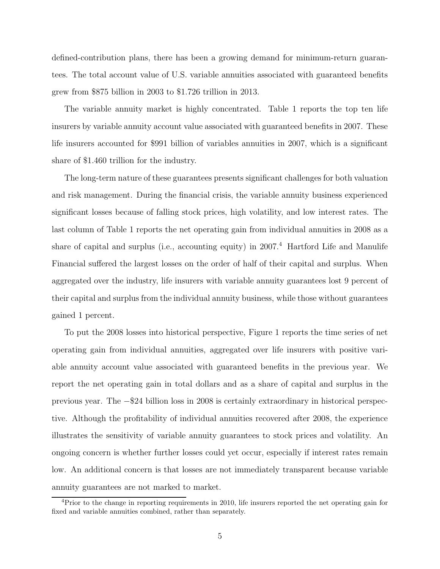defined-contribution plans, there has been a growing demand for minimum-return guarantees. The total account value of U.S. variable annuities associated with guaranteed benefits grew from \$875 billion in 2003 to \$1.726 trillion in 2013.

The variable annuity market is highly concentrated. Table 1 reports the top ten life insurers by variable annuity account value associated with guaranteed benefits in 2007. These life insurers accounted for \$991 billion of variables annuities in 2007, which is a significant share of \$1.460 trillion for the industry.

The long-term nature of these guarantees presents significant challenges for both valuation and risk management. During the financial crisis, the variable annuity business experienced significant losses because of falling stock prices, high volatility, and low interest rates. The last column of Table 1 reports the net operating gain from individual annuities in 2008 as a share of capital and surplus (i.e., accounting equity) in  $2007<sup>4</sup>$  Hartford Life and Manulife Financial suffered the largest losses on the order of half of their capital and surplus. When aggregated over the industry, life insurers with variable annuity guarantees lost 9 percent of their capital and surplus from the individual annuity business, while those without guarantees gained 1 percent.

To put the 2008 losses into historical perspective, Figure 1 reports the time series of net operating gain from individual annuities, aggregated over life insurers with positive variable annuity account value associated with guaranteed benefits in the previous year. We report the net operating gain in total dollars and as a share of capital and surplus in the previous year. The −\$24 billion loss in 2008 is certainly extraordinary in historical perspective. Although the profitability of individual annuities recovered after 2008, the experience illustrates the sensitivity of variable annuity guarantees to stock prices and volatility. An ongoing concern is whether further losses could yet occur, especially if interest rates remain low. An additional concern is that losses are not immediately transparent because variable annuity guarantees are not marked to market.

<sup>4</sup>Prior to the change in reporting requirements in 2010, life insurers reported the net operating gain for fixed and variable annuities combined, rather than separately.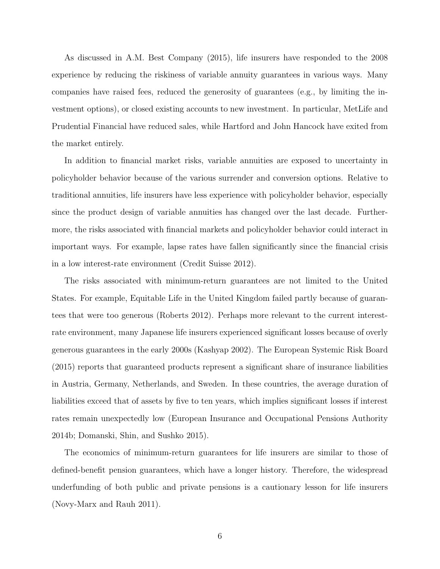As discussed in A.M. Best Company (2015), life insurers have responded to the 2008 experience by reducing the riskiness of variable annuity guarantees in various ways. Many companies have raised fees, reduced the generosity of guarantees (e.g., by limiting the investment options), or closed existing accounts to new investment. In particular, MetLife and Prudential Financial have reduced sales, while Hartford and John Hancock have exited from the market entirely.

In addition to financial market risks, variable annuities are exposed to uncertainty in policyholder behavior because of the various surrender and conversion options. Relative to traditional annuities, life insurers have less experience with policyholder behavior, especially since the product design of variable annuities has changed over the last decade. Furthermore, the risks associated with financial markets and policyholder behavior could interact in important ways. For example, lapse rates have fallen significantly since the financial crisis in a low interest-rate environment (Credit Suisse 2012).

The risks associated with minimum-return guarantees are not limited to the United States. For example, Equitable Life in the United Kingdom failed partly because of guarantees that were too generous (Roberts 2012). Perhaps more relevant to the current interestrate environment, many Japanese life insurers experienced significant losses because of overly generous guarantees in the early 2000s (Kashyap 2002). The European Systemic Risk Board (2015) reports that guaranteed products represent a significant share of insurance liabilities in Austria, Germany, Netherlands, and Sweden. In these countries, the average duration of liabilities exceed that of assets by five to ten years, which implies significant losses if interest rates remain unexpectedly low (European Insurance and Occupational Pensions Authority 2014b; Domanski, Shin, and Sushko 2015).

The economics of minimum-return guarantees for life insurers are similar to those of defined-benefit pension guarantees, which have a longer history. Therefore, the widespread underfunding of both public and private pensions is a cautionary lesson for life insurers (Novy-Marx and Rauh 2011).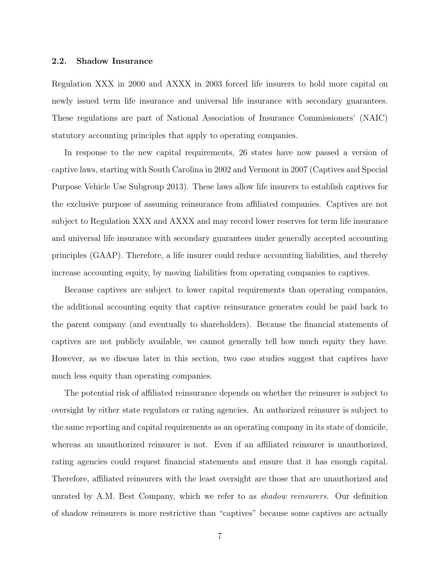#### **2.2. Shadow Insurance**

Regulation XXX in 2000 and AXXX in 2003 forced life insurers to hold more capital on newly issued term life insurance and universal life insurance with secondary guarantees. These regulations are part of National Association of Insurance Commissioners' (NAIC) statutory accounting principles that apply to operating companies.

In response to the new capital requirements, 26 states have now passed a version of captive laws, starting with South Carolina in 2002 and Vermont in 2007 (Captives and Special Purpose Vehicle Use Subgroup 2013). These laws allow life insurers to establish captives for the exclusive purpose of assuming reinsurance from affiliated companies. Captives are not subject to Regulation XXX and AXXX and may record lower reserves for term life insurance and universal life insurance with secondary guarantees under generally accepted accounting principles (GAAP). Therefore, a life insurer could reduce accounting liabilities, and thereby increase accounting equity, by moving liabilities from operating companies to captives.

Because captives are subject to lower capital requirements than operating companies, the additional accounting equity that captive reinsurance generates could be paid back to the parent company (and eventually to shareholders). Because the financial statements of captives are not publicly available, we cannot generally tell how much equity they have. However, as we discuss later in this section, two case studies suggest that captives have much less equity than operating companies.

The potential risk of affiliated reinsurance depends on whether the reinsurer is subject to oversight by either state regulators or rating agencies. An authorized reinsurer is subject to the same reporting and capital requirements as an operating company in its state of domicile, whereas an unauthorized reinsurer is not. Even if an affiliated reinsurer is unauthorized, rating agencies could request financial statements and ensure that it has enough capital. Therefore, affiliated reinsurers with the least oversight are those that are unauthorized and unrated by A.M. Best Company, which we refer to as *shadow reinsurers*. Our definition of shadow reinsurers is more restrictive than "captives" because some captives are actually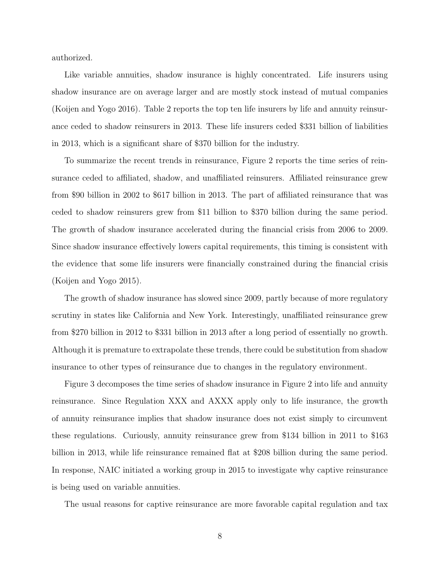authorized.

Like variable annuities, shadow insurance is highly concentrated. Life insurers using shadow insurance are on average larger and are mostly stock instead of mutual companies (Koijen and Yogo 2016). Table 2 reports the top ten life insurers by life and annuity reinsurance ceded to shadow reinsurers in 2013. These life insurers ceded \$331 billion of liabilities in 2013, which is a significant share of \$370 billion for the industry.

To summarize the recent trends in reinsurance, Figure 2 reports the time series of reinsurance ceded to affiliated, shadow, and unaffiliated reinsurers. Affiliated reinsurance grew from \$90 billion in 2002 to \$617 billion in 2013. The part of affiliated reinsurance that was ceded to shadow reinsurers grew from \$11 billion to \$370 billion during the same period. The growth of shadow insurance accelerated during the financial crisis from 2006 to 2009. Since shadow insurance effectively lowers capital requirements, this timing is consistent with the evidence that some life insurers were financially constrained during the financial crisis (Koijen and Yogo 2015).

The growth of shadow insurance has slowed since 2009, partly because of more regulatory scrutiny in states like California and New York. Interestingly, unaffiliated reinsurance grew from \$270 billion in 2012 to \$331 billion in 2013 after a long period of essentially no growth. Although it is premature to extrapolate these trends, there could be substitution from shadow insurance to other types of reinsurance due to changes in the regulatory environment.

Figure 3 decomposes the time series of shadow insurance in Figure 2 into life and annuity reinsurance. Since Regulation XXX and AXXX apply only to life insurance, the growth of annuity reinsurance implies that shadow insurance does not exist simply to circumvent these regulations. Curiously, annuity reinsurance grew from \$134 billion in 2011 to \$163 billion in 2013, while life reinsurance remained flat at \$208 billion during the same period. In response, NAIC initiated a working group in 2015 to investigate why captive reinsurance is being used on variable annuities.

The usual reasons for captive reinsurance are more favorable capital regulation and tax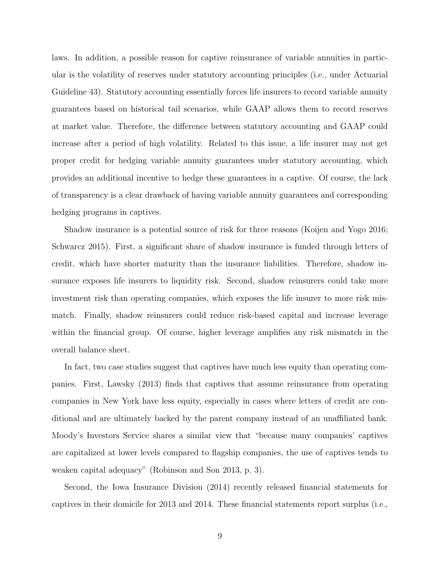laws. In addition, a possible reason for captive reinsurance of variable annuities in particular is the volatility of reserves under statutory accounting principles (i.e., under Actuarial Guideline 43). Statutory accounting essentially forces life insurers to record variable annuity guarantees based on historical tail scenarios, while GAAP allows them to record reserves at market value. Therefore, the difference between statutory accounting and GAAP could increase after a period of high volatility. Related to this issue, a life insurer may not get proper credit for hedging variable annuity guarantees under statutory accounting, which provides an additional incentive to hedge these guarantees in a captive. Of course, the lack of transparency is a clear drawback of having variable annuity guarantees and corresponding hedging programs in captives.

Shadow insurance is a potential source of risk for three reasons (Koijen and Yogo 2016; Schwarcz 2015). First, a significant share of shadow insurance is funded through letters of credit, which have shorter maturity than the insurance liabilities. Therefore, shadow insurance exposes life insurers to liquidity risk. Second, shadow reinsurers could take more investment risk than operating companies, which exposes the life insurer to more risk mismatch. Finally, shadow reinsurers could reduce risk-based capital and increase leverage within the financial group. Of course, higher leverage amplifies any risk mismatch in the overall balance sheet.

In fact, two case studies suggest that captives have much less equity than operating companies. First, Lawsky (2013) finds that captives that assume reinsurance from operating companies in New York have less equity, especially in cases where letters of credit are conditional and are ultimately backed by the parent company instead of an unaffiliated bank. Moody's Investors Service shares a similar view that "because many companies' captives are capitalized at lower levels compared to flagship companies, the use of captives tends to weaken capital adequacy" (Robinson and Son 2013, p. 3).

Second, the Iowa Insurance Division (2014) recently released financial statements for captives in their domicile for 2013 and 2014. These financial statements report surplus (i.e.,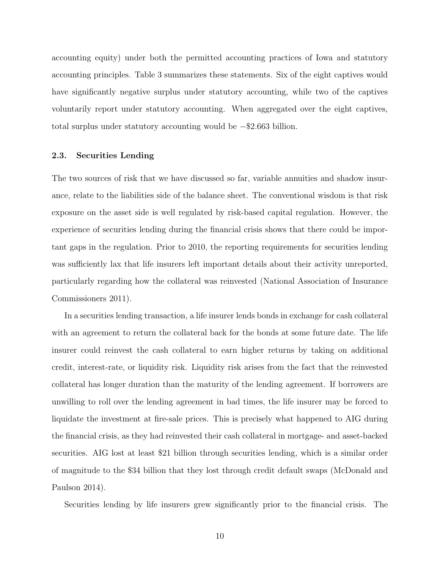accounting equity) under both the permitted accounting practices of Iowa and statutory accounting principles. Table 3 summarizes these statements. Six of the eight captives would have significantly negative surplus under statutory accounting, while two of the captives voluntarily report under statutory accounting. When aggregated over the eight captives, total surplus under statutory accounting would be −\$2*.*663 billion.

#### **2.3. Securities Lending**

The two sources of risk that we have discussed so far, variable annuities and shadow insurance, relate to the liabilities side of the balance sheet. The conventional wisdom is that risk exposure on the asset side is well regulated by risk-based capital regulation. However, the experience of securities lending during the financial crisis shows that there could be important gaps in the regulation. Prior to 2010, the reporting requirements for securities lending was sufficiently lax that life insurers left important details about their activity unreported, particularly regarding how the collateral was reinvested (National Association of Insurance Commissioners 2011).

In a securities lending transaction, a life insurer lends bonds in exchange for cash collateral with an agreement to return the collateral back for the bonds at some future date. The life insurer could reinvest the cash collateral to earn higher returns by taking on additional credit, interest-rate, or liquidity risk. Liquidity risk arises from the fact that the reinvested collateral has longer duration than the maturity of the lending agreement. If borrowers are unwilling to roll over the lending agreement in bad times, the life insurer may be forced to liquidate the investment at fire-sale prices. This is precisely what happened to AIG during the financial crisis, as they had reinvested their cash collateral in mortgage- and asset-backed securities. AIG lost at least \$21 billion through securities lending, which is a similar order of magnitude to the \$34 billion that they lost through credit default swaps (McDonald and Paulson 2014).

Securities lending by life insurers grew significantly prior to the financial crisis. The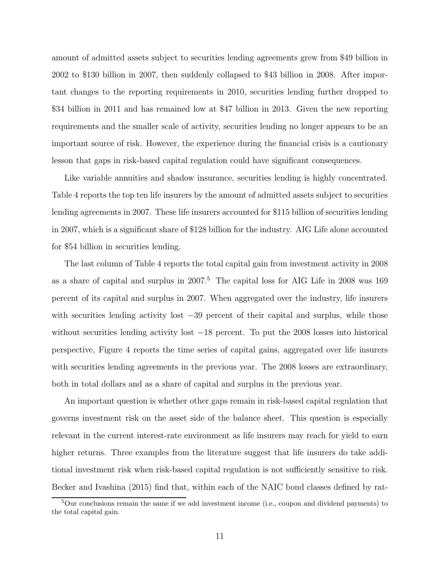amount of admitted assets subject to securities lending agreements grew from \$49 billion in 2002 to \$130 billion in 2007, then suddenly collapsed to \$43 billion in 2008. After important changes to the reporting requirements in 2010, securities lending further dropped to \$34 billion in 2011 and has remained low at \$47 billion in 2013. Given the new reporting requirements and the smaller scale of activity, securities lending no longer appears to be an important source of risk. However, the experience during the financial crisis is a cautionary lesson that gaps in risk-based capital regulation could have significant consequences.

Like variable annuities and shadow insurance, securities lending is highly concentrated. Table 4 reports the top ten life insurers by the amount of admitted assets subject to securities lending agreements in 2007. These life insurers accounted for \$115 billion of securities lending in 2007, which is a significant share of \$128 billion for the industry. AIG Life alone accounted for \$54 billion in securities lending.

The last column of Table 4 reports the total capital gain from investment activity in 2008 as a share of capital and surplus in  $2007<sup>5</sup>$ . The capital loss for AIG Life in 2008 was 169 percent of its capital and surplus in 2007. When aggregated over the industry, life insurers with securities lending activity lost  $-39$  percent of their capital and surplus, while those without securities lending activity lost −18 percent. To put the 2008 losses into historical perspective, Figure 4 reports the time series of capital gains, aggregated over life insurers with securities lending agreements in the previous year. The 2008 losses are extraordinary, both in total dollars and as a share of capital and surplus in the previous year.

An important question is whether other gaps remain in risk-based capital regulation that governs investment risk on the asset side of the balance sheet. This question is especially relevant in the current interest-rate environment as life insurers may reach for yield to earn higher returns. Three examples from the literature suggest that life insurers do take additional investment risk when risk-based capital regulation is not sufficiently sensitive to risk. Becker and Ivashina (2015) find that, within each of the NAIC bond classes defined by rat-

 $5$ Our conclusions remain the same if we add investment income (i.e., coupon and dividend payments) to the total capital gain.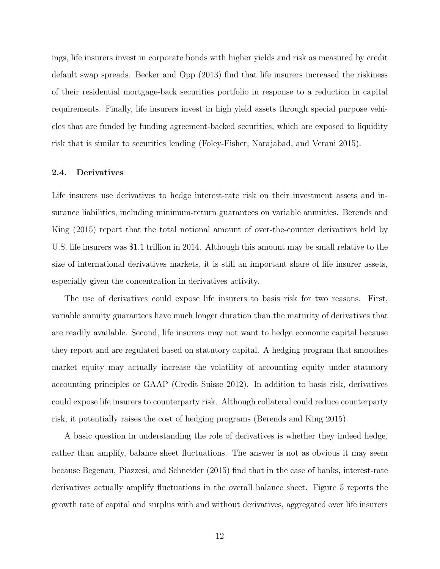ings, life insurers invest in corporate bonds with higher yields and risk as measured by credit default swap spreads. Becker and Opp (2013) find that life insurers increased the riskiness of their residential mortgage-back securities portfolio in response to a reduction in capital requirements. Finally, life insurers invest in high yield assets through special purpose vehicles that are funded by funding agreement-backed securities, which are exposed to liquidity risk that is similar to securities lending (Foley-Fisher, Narajabad, and Verani 2015).

#### **2.4. Derivatives**

Life insurers use derivatives to hedge interest-rate risk on their investment assets and insurance liabilities, including minimum-return guarantees on variable annuities. Berends and King (2015) report that the total notional amount of over-the-counter derivatives held by U.S. life insurers was \$1.1 trillion in 2014. Although this amount may be small relative to the size of international derivatives markets, it is still an important share of life insurer assets, especially given the concentration in derivatives activity.

The use of derivatives could expose life insurers to basis risk for two reasons. First, variable annuity guarantees have much longer duration than the maturity of derivatives that are readily available. Second, life insurers may not want to hedge economic capital because they report and are regulated based on statutory capital. A hedging program that smoothes market equity may actually increase the volatility of accounting equity under statutory accounting principles or GAAP (Credit Suisse 2012). In addition to basis risk, derivatives could expose life insurers to counterparty risk. Although collateral could reduce counterparty risk, it potentially raises the cost of hedging programs (Berends and King 2015).

A basic question in understanding the role of derivatives is whether they indeed hedge, rather than amplify, balance sheet fluctuations. The answer is not as obvious it may seem because Begenau, Piazzesi, and Schneider (2015) find that in the case of banks, interest-rate derivatives actually amplify fluctuations in the overall balance sheet. Figure 5 reports the growth rate of capital and surplus with and without derivatives, aggregated over life insurers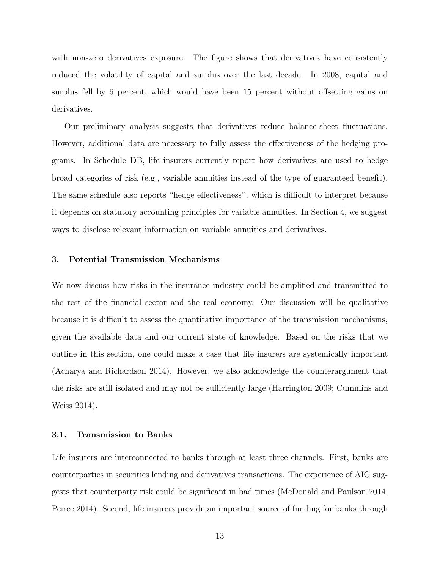with non-zero derivatives exposure. The figure shows that derivatives have consistently reduced the volatility of capital and surplus over the last decade. In 2008, capital and surplus fell by 6 percent, which would have been 15 percent without offsetting gains on derivatives.

Our preliminary analysis suggests that derivatives reduce balance-sheet fluctuations. However, additional data are necessary to fully assess the effectiveness of the hedging programs. In Schedule DB, life insurers currently report how derivatives are used to hedge broad categories of risk (e.g., variable annuities instead of the type of guaranteed benefit). The same schedule also reports "hedge effectiveness", which is difficult to interpret because it depends on statutory accounting principles for variable annuities. In Section 4, we suggest ways to disclose relevant information on variable annuities and derivatives.

#### **3. Potential Transmission Mechanisms**

We now discuss how risks in the insurance industry could be amplified and transmitted to the rest of the financial sector and the real economy. Our discussion will be qualitative because it is difficult to assess the quantitative importance of the transmission mechanisms, given the available data and our current state of knowledge. Based on the risks that we outline in this section, one could make a case that life insurers are systemically important (Acharya and Richardson 2014). However, we also acknowledge the counterargument that the risks are still isolated and may not be sufficiently large (Harrington 2009; Cummins and Weiss 2014).

#### **3.1. Transmission to Banks**

Life insurers are interconnected to banks through at least three channels. First, banks are counterparties in securities lending and derivatives transactions. The experience of AIG suggests that counterparty risk could be significant in bad times (McDonald and Paulson 2014; Peirce 2014). Second, life insurers provide an important source of funding for banks through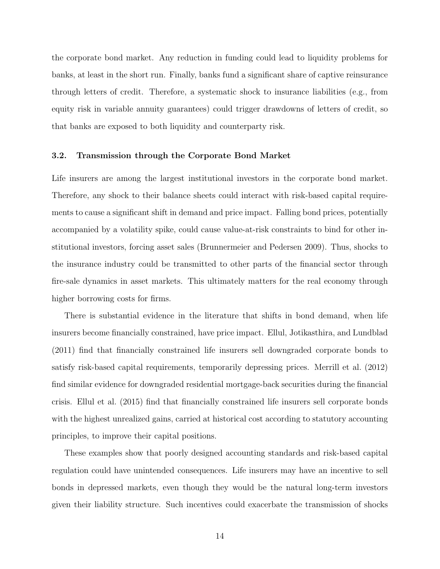the corporate bond market. Any reduction in funding could lead to liquidity problems for banks, at least in the short run. Finally, banks fund a significant share of captive reinsurance through letters of credit. Therefore, a systematic shock to insurance liabilities (e.g., from equity risk in variable annuity guarantees) could trigger drawdowns of letters of credit, so that banks are exposed to both liquidity and counterparty risk.

#### **3.2. Transmission through the Corporate Bond Market**

Life insurers are among the largest institutional investors in the corporate bond market. Therefore, any shock to their balance sheets could interact with risk-based capital requirements to cause a significant shift in demand and price impact. Falling bond prices, potentially accompanied by a volatility spike, could cause value-at-risk constraints to bind for other institutional investors, forcing asset sales (Brunnermeier and Pedersen 2009). Thus, shocks to the insurance industry could be transmitted to other parts of the financial sector through fire-sale dynamics in asset markets. This ultimately matters for the real economy through higher borrowing costs for firms.

There is substantial evidence in the literature that shifts in bond demand, when life insurers become financially constrained, have price impact. Ellul, Jotikasthira, and Lundblad (2011) find that financially constrained life insurers sell downgraded corporate bonds to satisfy risk-based capital requirements, temporarily depressing prices. Merrill et al. (2012) find similar evidence for downgraded residential mortgage-back securities during the financial crisis. Ellul et al. (2015) find that financially constrained life insurers sell corporate bonds with the highest unrealized gains, carried at historical cost according to statutory accounting principles, to improve their capital positions.

These examples show that poorly designed accounting standards and risk-based capital regulation could have unintended consequences. Life insurers may have an incentive to sell bonds in depressed markets, even though they would be the natural long-term investors given their liability structure. Such incentives could exacerbate the transmission of shocks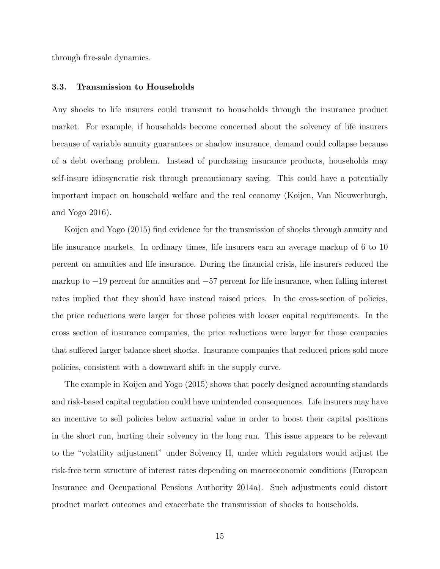through fire-sale dynamics.

#### **3.3. Transmission to Households**

Any shocks to life insurers could transmit to households through the insurance product market. For example, if households become concerned about the solvency of life insurers because of variable annuity guarantees or shadow insurance, demand could collapse because of a debt overhang problem. Instead of purchasing insurance products, households may self-insure idiosyncratic risk through precautionary saving. This could have a potentially important impact on household welfare and the real economy (Koijen, Van Nieuwerburgh, and Yogo 2016).

Koijen and Yogo (2015) find evidence for the transmission of shocks through annuity and life insurance markets. In ordinary times, life insurers earn an average markup of 6 to 10 percent on annuities and life insurance. During the financial crisis, life insurers reduced the markup to −19 percent for annuities and −57 percent for life insurance, when falling interest rates implied that they should have instead raised prices. In the cross-section of policies, the price reductions were larger for those policies with looser capital requirements. In the cross section of insurance companies, the price reductions were larger for those companies that suffered larger balance sheet shocks. Insurance companies that reduced prices sold more policies, consistent with a downward shift in the supply curve.

The example in Koijen and Yogo (2015) shows that poorly designed accounting standards and risk-based capital regulation could have unintended consequences. Life insurers may have an incentive to sell policies below actuarial value in order to boost their capital positions in the short run, hurting their solvency in the long run. This issue appears to be relevant to the "volatility adjustment" under Solvency II, under which regulators would adjust the risk-free term structure of interest rates depending on macroeconomic conditions (European Insurance and Occupational Pensions Authority 2014a). Such adjustments could distort product market outcomes and exacerbate the transmission of shocks to households.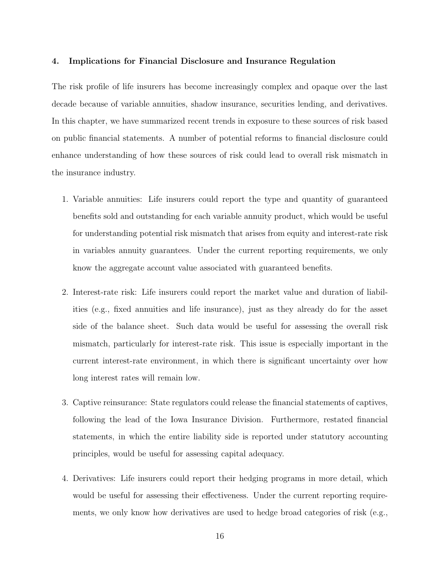#### **4. Implications for Financial Disclosure and Insurance Regulation**

The risk profile of life insurers has become increasingly complex and opaque over the last decade because of variable annuities, shadow insurance, securities lending, and derivatives. In this chapter, we have summarized recent trends in exposure to these sources of risk based on public financial statements. A number of potential reforms to financial disclosure could enhance understanding of how these sources of risk could lead to overall risk mismatch in the insurance industry.

- 1. Variable annuities: Life insurers could report the type and quantity of guaranteed benefits sold and outstanding for each variable annuity product, which would be useful for understanding potential risk mismatch that arises from equity and interest-rate risk in variables annuity guarantees. Under the current reporting requirements, we only know the aggregate account value associated with guaranteed benefits.
- 2. Interest-rate risk: Life insurers could report the market value and duration of liabilities (e.g., fixed annuities and life insurance), just as they already do for the asset side of the balance sheet. Such data would be useful for assessing the overall risk mismatch, particularly for interest-rate risk. This issue is especially important in the current interest-rate environment, in which there is significant uncertainty over how long interest rates will remain low.
- 3. Captive reinsurance: State regulators could release the financial statements of captives, following the lead of the Iowa Insurance Division. Furthermore, restated financial statements, in which the entire liability side is reported under statutory accounting principles, would be useful for assessing capital adequacy.
- 4. Derivatives: Life insurers could report their hedging programs in more detail, which would be useful for assessing their effectiveness. Under the current reporting requirements, we only know how derivatives are used to hedge broad categories of risk (e.g.,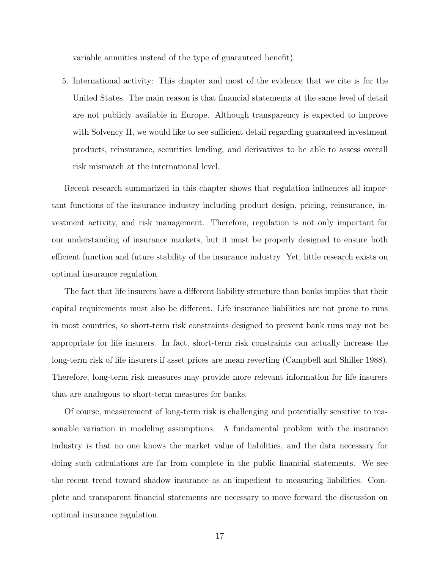variable annuities instead of the type of guaranteed benefit).

5. International activity: This chapter and most of the evidence that we cite is for the United States. The main reason is that financial statements at the same level of detail are not publicly available in Europe. Although transparency is expected to improve with Solvency II, we would like to see sufficient detail regarding guaranteed investment products, reinsurance, securities lending, and derivatives to be able to assess overall risk mismatch at the international level.

Recent research summarized in this chapter shows that regulation influences all important functions of the insurance industry including product design, pricing, reinsurance, investment activity, and risk management. Therefore, regulation is not only important for our understanding of insurance markets, but it must be properly designed to ensure both efficient function and future stability of the insurance industry. Yet, little research exists on optimal insurance regulation.

The fact that life insurers have a different liability structure than banks implies that their capital requirements must also be different. Life insurance liabilities are not prone to runs in most countries, so short-term risk constraints designed to prevent bank runs may not be appropriate for life insurers. In fact, short-term risk constraints can actually increase the long-term risk of life insurers if asset prices are mean reverting (Campbell and Shiller 1988). Therefore, long-term risk measures may provide more relevant information for life insurers that are analogous to short-term measures for banks.

Of course, measurement of long-term risk is challenging and potentially sensitive to reasonable variation in modeling assumptions. A fundamental problem with the insurance industry is that no one knows the market value of liabilities, and the data necessary for doing such calculations are far from complete in the public financial statements. We see the recent trend toward shadow insurance as an impedient to measuring liabilities. Complete and transparent financial statements are necessary to move forward the discussion on optimal insurance regulation.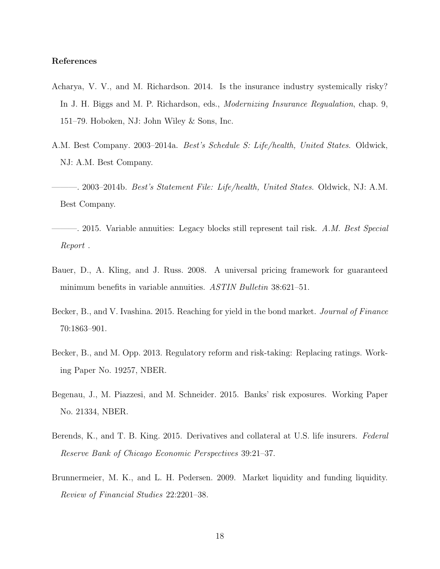#### **References**

- Acharya, V. V., and M. Richardson. 2014. Is the insurance industry systemically risky? In J. H. Biggs and M. P. Richardson, eds., *Modernizing Insurance Regualation*, chap. 9, 151–79. Hoboken, NJ: John Wiley & Sons, Inc.
- A.M. Best Company. 2003–2014a. *Best's Schedule S: Life/health, United States*. Oldwick, NJ: A.M. Best Company.
- ———. 2003–2014b. *Best's Statement File: Life/health, United States*. Oldwick, NJ: A.M. Best Company.
- ———. 2015. Variable annuities: Legacy blocks still represent tail risk. *A.M. Best Special Report* .
- Bauer, D., A. Kling, and J. Russ. 2008. A universal pricing framework for guaranteed minimum benefits in variable annuities. *ASTIN Bulletin* 38:621–51.
- Becker, B., and V. Ivashina. 2015. Reaching for yield in the bond market. *Journal of Finance* 70:1863–901.
- Becker, B., and M. Opp. 2013. Regulatory reform and risk-taking: Replacing ratings. Working Paper No. 19257, NBER.
- Begenau, J., M. Piazzesi, and M. Schneider. 2015. Banks' risk exposures. Working Paper No. 21334, NBER.
- Berends, K., and T. B. King. 2015. Derivatives and collateral at U.S. life insurers. *Federal Reserve Bank of Chicago Economic Perspectives* 39:21–37.
- Brunnermeier, M. K., and L. H. Pedersen. 2009. Market liquidity and funding liquidity. *Review of Financial Studies* 22:2201–38.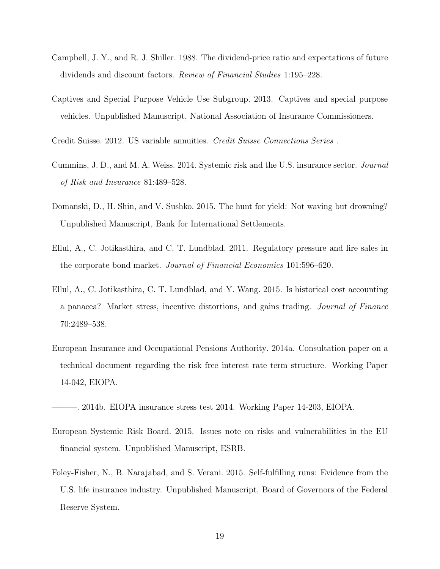- Campbell, J. Y., and R. J. Shiller. 1988. The dividend-price ratio and expectations of future dividends and discount factors. *Review of Financial Studies* 1:195–228.
- Captives and Special Purpose Vehicle Use Subgroup. 2013. Captives and special purpose vehicles. Unpublished Manuscript, National Association of Insurance Commissioners.
- Credit Suisse. 2012. US variable annuities. *Credit Suisse Connections Series* .
- Cummins, J. D., and M. A. Weiss. 2014. Systemic risk and the U.S. insurance sector. *Journal of Risk and Insurance* 81:489–528.
- Domanski, D., H. Shin, and V. Sushko. 2015. The hunt for yield: Not waving but drowning? Unpublished Manuscript, Bank for International Settlements.
- Ellul, A., C. Jotikasthira, and C. T. Lundblad. 2011. Regulatory pressure and fire sales in the corporate bond market. *Journal of Financial Economics* 101:596–620.
- Ellul, A., C. Jotikasthira, C. T. Lundblad, and Y. Wang. 2015. Is historical cost accounting a panacea? Market stress, incentive distortions, and gains trading. *Journal of Finance* 70:2489–538.
- European Insurance and Occupational Pensions Authority. 2014a. Consultation paper on a technical document regarding the risk free interest rate term structure. Working Paper 14-042, EIOPA.

———. 2014b. EIOPA insurance stress test 2014. Working Paper 14-203, EIOPA.

- European Systemic Risk Board. 2015. Issues note on risks and vulnerabilities in the EU financial system. Unpublished Manuscript, ESRB.
- Foley-Fisher, N., B. Narajabad, and S. Verani. 2015. Self-fulfilling runs: Evidence from the U.S. life insurance industry. Unpublished Manuscript, Board of Governors of the Federal Reserve System.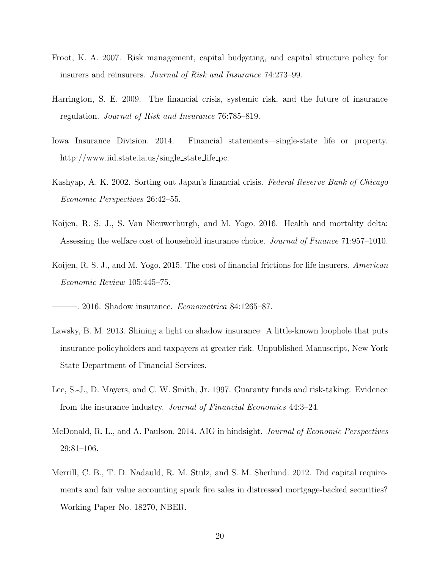- Froot, K. A. 2007. Risk management, capital budgeting, and capital structure policy for insurers and reinsurers. *Journal of Risk and Insurance* 74:273–99.
- Harrington, S. E. 2009. The financial crisis, systemic risk, and the future of insurance regulation. *Journal of Risk and Insurance* 76:785–819.
- Iowa Insurance Division. 2014. Financial statements—single-state life or property. http://www.iid.state.ia.us/single state life pc.
- Kashyap, A. K. 2002. Sorting out Japan's financial crisis. *Federal Reserve Bank of Chicago Economic Perspectives* 26:42–55.
- Koijen, R. S. J., S. Van Nieuwerburgh, and M. Yogo. 2016. Health and mortality delta: Assessing the welfare cost of household insurance choice. *Journal of Finance* 71:957–1010.
- Koijen, R. S. J., and M. Yogo. 2015. The cost of financial frictions for life insurers. *American Economic Review* 105:445–75.

———. 2016. Shadow insurance. *Econometrica* 84:1265–87.

- Lawsky, B. M. 2013. Shining a light on shadow insurance: A little-known loophole that puts insurance policyholders and taxpayers at greater risk. Unpublished Manuscript, New York State Department of Financial Services.
- Lee, S.-J., D. Mayers, and C. W. Smith, Jr. 1997. Guaranty funds and risk-taking: Evidence from the insurance industry. *Journal of Financial Economics* 44:3–24.
- McDonald, R. L., and A. Paulson. 2014. AIG in hindsight. *Journal of Economic Perspectives* 29:81–106.
- Merrill, C. B., T. D. Nadauld, R. M. Stulz, and S. M. Sherlund. 2012. Did capital requirements and fair value accounting spark fire sales in distressed mortgage-backed securities? Working Paper No. 18270, NBER.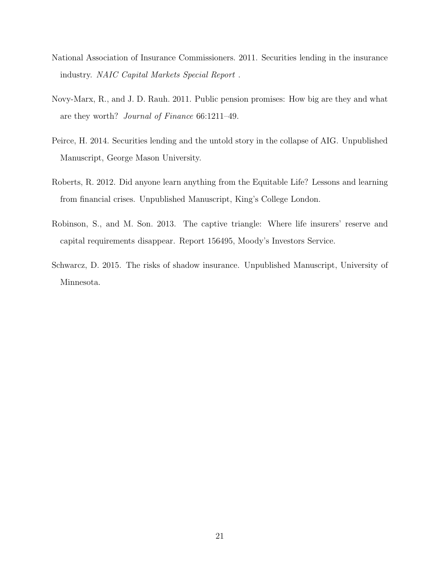- National Association of Insurance Commissioners. 2011. Securities lending in the insurance industry. *NAIC Capital Markets Special Report* .
- Novy-Marx, R., and J. D. Rauh. 2011. Public pension promises: How big are they and what are they worth? *Journal of Finance* 66:1211–49.
- Peirce, H. 2014. Securities lending and the untold story in the collapse of AIG. Unpublished Manuscript, George Mason University.
- Roberts, R. 2012. Did anyone learn anything from the Equitable Life? Lessons and learning from financial crises. Unpublished Manuscript, King's College London.
- Robinson, S., and M. Son. 2013. The captive triangle: Where life insurers' reserve and capital requirements disappear. Report 156495, Moody's Investors Service.
- Schwarcz, D. 2015. The risks of shadow insurance. Unpublished Manuscript, University of Minnesota.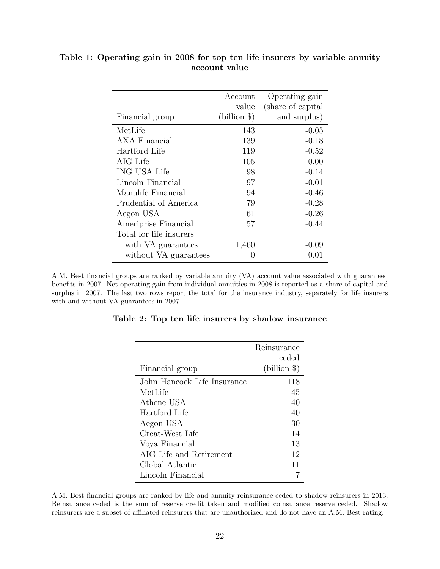|                         | Account     | Operating gain     |
|-------------------------|-------------|--------------------|
|                         | value       | (share of capital) |
| Financial group         | $(bllion \$ | and surplus)       |
| MetLife                 | 143         | $-0.05$            |
| AXA Financial           | 139         | $-0.18$            |
| Hartford Life           | 119         | $-0.52$            |
| AIG Life                | 105         | 0.00               |
| <b>ING USA Life</b>     | 98          | $-0.14$            |
| Lincoln Financial       | 97          | $-0.01$            |
| Manulife Financial      | 94          | $-0.46$            |
| Prudential of America   | 79          | $-0.28$            |
| Aegon USA               | 61          | $-0.26$            |
| Ameriprise Financial    | 57          | $-0.44$            |
| Total for life insurers |             |                    |
| with VA guarantees      | 1,460       | $-0.09$            |
| without VA guarantees   | 0           | $0.01\,$           |

# **Table 1: Operating gain in 2008 for top ten life insurers by variable annuity account value**

A.M. Best financial groups are ranked by variable annuity (VA) account value associated with guaranteed benefits in 2007. Net operating gain from individual annuities in 2008 is reported as a share of capital and surplus in 2007. The last two rows report the total for the insurance industry, separately for life insurers with and without VA guarantees in 2007.

|                             | Reinsurance            |
|-----------------------------|------------------------|
|                             | ceded                  |
| Financial group             | $\text{(billion } \$)$ |
| John Hancock Life Insurance | 118                    |
| MetLife                     | 45                     |
| Athene USA                  | 40                     |
| Hartford Life               | 40                     |
| Aegon USA                   | 30                     |
| Great-West Life             | 14                     |
| Voya Financial              | 13                     |
| AIG Life and Retirement     | 12                     |
| Global Atlantic             | 11                     |
| Lincoln Financial           |                        |

**Table 2: Top ten life insurers by shadow insurance**

A.M. Best financial groups are ranked by life and annuity reinsurance ceded to shadow reinsurers in 2013. Reinsurance ceded is the sum of reserve credit taken and modified coinsurance reserve ceded. Shadow reinsurers are a subset of affiliated reinsurers that are unauthorized and do not have an A.M. Best rating.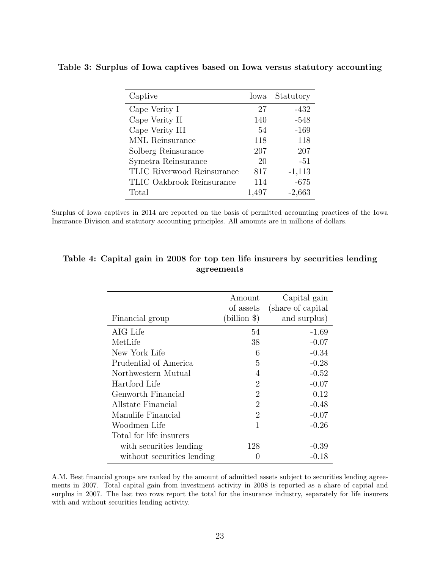| Captive                    | Iowa  | Statutory |
|----------------------------|-------|-----------|
| Cape Verity I              | 27    | $-432$    |
| Cape Verity II             | 140   | $-548$    |
| Cape Verity III            | 54    | $-169$    |
| MNL Reinsurance            | 118   | 118       |
| Solberg Reinsurance        | 207   | 207       |
| Symetra Reinsurance        | 20    | $-51$     |
| TLIC Riverwood Reinsurance | 817   | $-1,113$  |
| TLIC Oakbrook Reinsurance  | 114   | $-675$    |
| Total                      | 1,497 | $-2,663$  |

**Table 3: Surplus of Iowa captives based on Iowa versus statutory accounting**

Surplus of Iowa captives in 2014 are reported on the basis of permitted accounting practices of the Iowa Insurance Division and statutory accounting principles. All amounts are in millions of dollars.

|                            | Amount                      | Capital gain       |
|----------------------------|-----------------------------|--------------------|
|                            | of assets                   | (share of capital) |
| Financial group            | $(blion \$                  | and surplus)       |
| AIG Life                   | 54                          | $-1.69$            |
| MetLife                    | 38                          | $-0.07$            |
| New York Life              | 6                           | $-0.34$            |
| Prudential of America      | 5                           | $-0.28$            |
| Northwestern Mutual        | 4                           | $-0.52$            |
| Hartford Life              | 2                           | $-0.07$            |
| Genworth Financial         | 2                           | 0.12               |
| Allstate Financial         | $\overline{2}$              | $-0.48$            |
| Manulife Financial         | $\mathcal{D}_{\mathcal{L}}$ | $-0.07$            |
| Woodmen Life               | 1                           | $-0.26$            |
| Total for life insurers    |                             |                    |
| with securities lending    | 128                         | $-0.39$            |
| without securities lending |                             | -0.18              |

## **Table 4: Capital gain in 2008 for top ten life insurers by securities lending agreements**

A.M. Best financial groups are ranked by the amount of admitted assets subject to securities lending agreements in 2007. Total capital gain from investment activity in 2008 is reported as a share of capital and surplus in 2007. The last two rows report the total for the insurance industry, separately for life insurers with and without securities lending activity.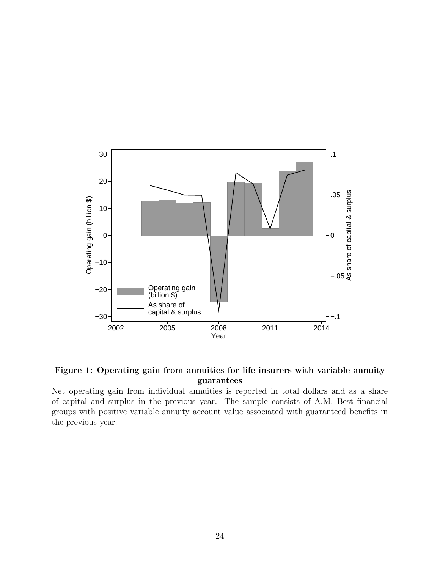

**Figure 1: Operating gain from annuities for life insurers with variable annuity guarantees**

Net operating gain from individual annuities is reported in total dollars and as a share of capital and surplus in the previous year. The sample consists of A.M. Best financial groups with positive variable annuity account value associated with guaranteed benefits in the previous year.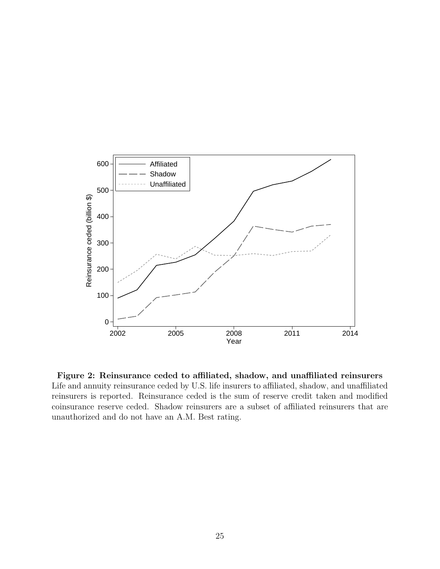

**Figure 2: Reinsurance ceded to affiliated, shadow, and unaffiliated reinsurers** Life and annuity reinsurance ceded by U.S. life insurers to affiliated, shadow, and unaffiliated reinsurers is reported. Reinsurance ceded is the sum of reserve credit taken and modified coinsurance reserve ceded. Shadow reinsurers are a subset of affiliated reinsurers that are unauthorized and do not have an A.M. Best rating.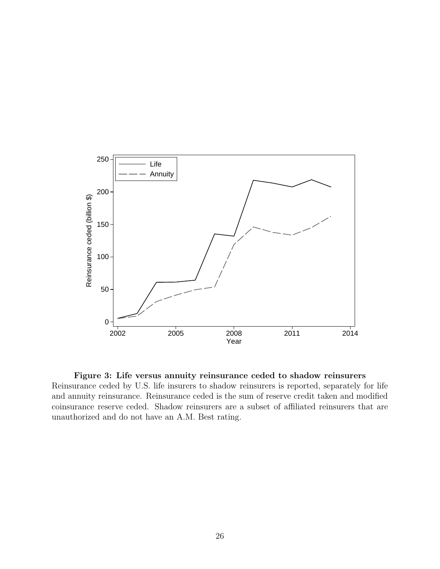

**Figure 3: Life versus annuity reinsurance ceded to shadow reinsurers** Reinsurance ceded by U.S. life insurers to shadow reinsurers is reported, separately for life and annuity reinsurance. Reinsurance ceded is the sum of reserve credit taken and modified coinsurance reserve ceded. Shadow reinsurers are a subset of affiliated reinsurers that are unauthorized and do not have an A.M. Best rating.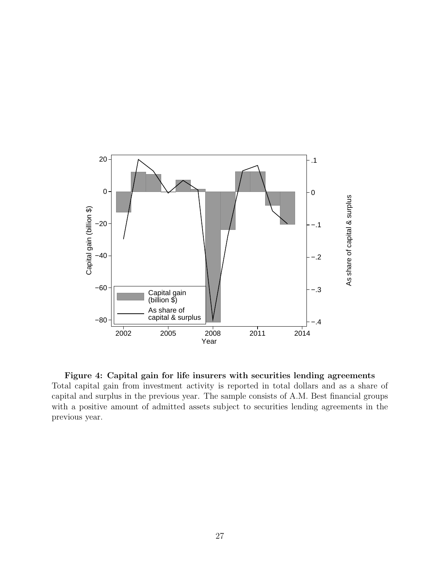

**Figure 4: Capital gain for life insurers with securities lending agreements** Total capital gain from investment activity is reported in total dollars and as a share of capital and surplus in the previous year. The sample consists of A.M. Best financial groups with a positive amount of admitted assets subject to securities lending agreements in the previous year.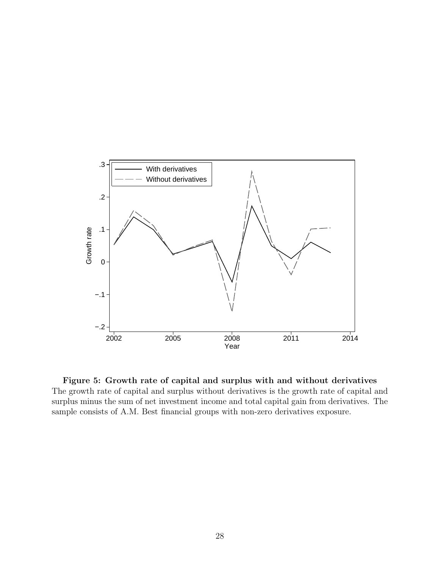

**Figure 5: Growth rate of capital and surplus with and without derivatives** The growth rate of capital and surplus without derivatives is the growth rate of capital and surplus minus the sum of net investment income and total capital gain from derivatives. The sample consists of A.M. Best financial groups with non-zero derivatives exposure.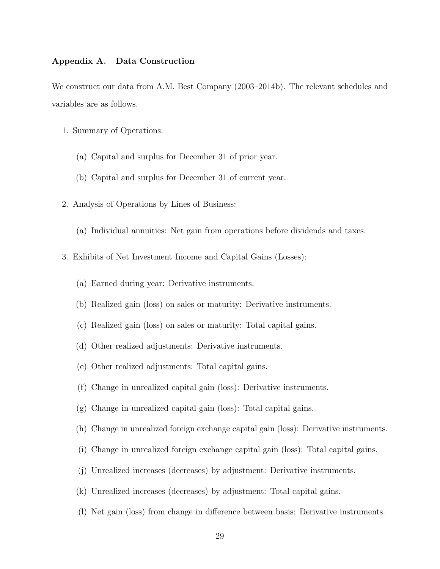#### **Appendix A. Data Construction**

We construct our data from A.M. Best Company (2003–2014b). The relevant schedules and variables are as follows.

- 1. Summary of Operations:
	- (a) Capital and surplus for December 31 of prior year.
	- (b) Capital and surplus for December 31 of current year.
- 2. Analysis of Operations by Lines of Business:
	- (a) Individual annuities: Net gain from operations before dividends and taxes.
- 3. Exhibits of Net Investment Income and Capital Gains (Losses):
	- (a) Earned during year: Derivative instruments.
	- (b) Realized gain (loss) on sales or maturity: Derivative instruments.
	- (c) Realized gain (loss) on sales or maturity: Total capital gains.
	- (d) Other realized adjustments: Derivative instruments.
	- (e) Other realized adjustments: Total capital gains.
	- (f) Change in unrealized capital gain (loss): Derivative instruments.
	- (g) Change in unrealized capital gain (loss): Total capital gains.
	- (h) Change in unrealized foreign exchange capital gain (loss): Derivative instruments.
	- (i) Change in unrealized foreign exchange capital gain (loss): Total capital gains.
	- (j) Unrealized increases (decreases) by adjustment: Derivative instruments.
	- (k) Unrealized increases (decreases) by adjustment: Total capital gains.
	- (l) Net gain (loss) from change in difference between basis: Derivative instruments.